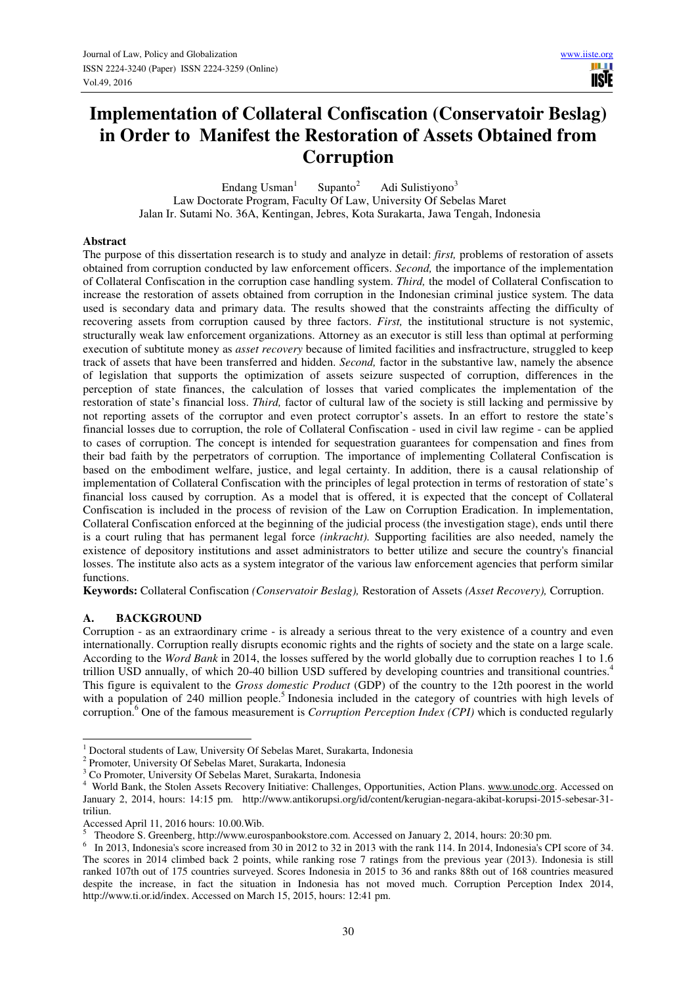# **Implementation of Collateral Confiscation (Conservatoir Beslag) in Order to Manifest the Restoration of Assets Obtained from Corruption**

Endang Usman $<sup>1</sup>$ </sup> Supanto $2$ Adi Sulistiyono<sup>3</sup> Law Doctorate Program, Faculty Of Law, University Of Sebelas Maret Jalan Ir. Sutami No. 36A, Kentingan, Jebres, Kota Surakarta, Jawa Tengah, Indonesia

#### **Abstract**

The purpose of this dissertation research is to study and analyze in detail: *first,* problems of restoration of assets obtained from corruption conducted by law enforcement officers. *Second,* the importance of the implementation of Collateral Confiscation in the corruption case handling system. *Third,* the model of Collateral Confiscation to increase the restoration of assets obtained from corruption in the Indonesian criminal justice system. The data used is secondary data and primary data. The results showed that the constraints affecting the difficulty of recovering assets from corruption caused by three factors. *First,* the institutional structure is not systemic, structurally weak law enforcement organizations. Attorney as an executor is still less than optimal at performing execution of subtitute money as *asset recovery* because of limited facilities and insfractructure, struggled to keep track of assets that have been transferred and hidden. *Second,* factor in the substantive law, namely the absence of legislation that supports the optimization of assets seizure suspected of corruption, differences in the perception of state finances, the calculation of losses that varied complicates the implementation of the restoration of state's financial loss. *Third,* factor of cultural law of the society is still lacking and permissive by not reporting assets of the corruptor and even protect corruptor's assets. In an effort to restore the state's financial losses due to corruption, the role of Collateral Confiscation - used in civil law regime - can be applied to cases of corruption. The concept is intended for sequestration guarantees for compensation and fines from their bad faith by the perpetrators of corruption. The importance of implementing Collateral Confiscation is based on the embodiment welfare, justice, and legal certainty. In addition, there is a causal relationship of implementation of Collateral Confiscation with the principles of legal protection in terms of restoration of state's financial loss caused by corruption. As a model that is offered, it is expected that the concept of Collateral Confiscation is included in the process of revision of the Law on Corruption Eradication. In implementation, Collateral Confiscation enforced at the beginning of the judicial process (the investigation stage), ends until there is a court ruling that has permanent legal force *(inkracht).* Supporting facilities are also needed, namely the existence of depository institutions and asset administrators to better utilize and secure the country's financial losses. The institute also acts as a system integrator of the various law enforcement agencies that perform similar functions.

**Keywords:** Collateral Confiscation *(Conservatoir Beslag),* Restoration of Assets *(Asset Recovery),* Corruption.

## **A. BACKGROUND**

 $\overline{a}$ 

Corruption - as an extraordinary crime - is already a serious threat to the very existence of a country and even internationally. Corruption really disrupts economic rights and the rights of society and the state on a large scale. According to the *Word Bank* in 2014, the losses suffered by the world globally due to corruption reaches 1 to 1.6 trillion USD annually, of which 20-40 billion USD suffered by developing countries and transitional countries.<sup>4</sup> This figure is equivalent to the *Gross domestic Product* (GDP) of the country to the 12th poorest in the world with a population of 240 million people.<sup>5</sup> Indonesia included in the category of countries with high levels of corruption.<sup>6</sup> One of the famous measurement is *Corruption Perception Index (CPI)* which is conducted regularly

<sup>&</sup>lt;sup>1</sup> Doctoral students of Law, University Of Sebelas Maret, Surakarta, Indonesia

<sup>2</sup> Promoter, University Of Sebelas Maret, Surakarta, Indonesia

<sup>3</sup> Co Promoter, University Of Sebelas Maret, Surakarta, Indonesia

<sup>&</sup>lt;sup>4</sup> World Bank, the Stolen Assets Recovery Initiative: Challenges, Opportunities, Action Plans. www.unodc.org. Accessed on January 2, 2014, hours: 14:15 pm. http://www.antikorupsi.org/id/content/kerugian-negara-akibat-korupsi-2015-sebesar-31 triliun.

Accessed April 11, 2016 hours: 10.00.Wib.

<sup>5</sup> Theodore S. Greenberg, http://www.eurospanbookstore.com. Accessed on January 2, 2014, hours: 20:30 pm.

<sup>&</sup>lt;sup>6</sup> In 2013, Indonesia's score increased from 30 in 2012 to 32 in 2013 with the rank 114. In 2014, Indonesia's CPI score of 34. The scores in 2014 climbed back 2 points, while ranking rose 7 ratings from the previous year (2013). Indonesia is still ranked 107th out of 175 countries surveyed. Scores Indonesia in 2015 to 36 and ranks 88th out of 168 countries measured despite the increase, in fact the situation in Indonesia has not moved much. Corruption Perception Index 2014, http://www.ti.or.id/index. Accessed on March 15, 2015, hours: 12:41 pm.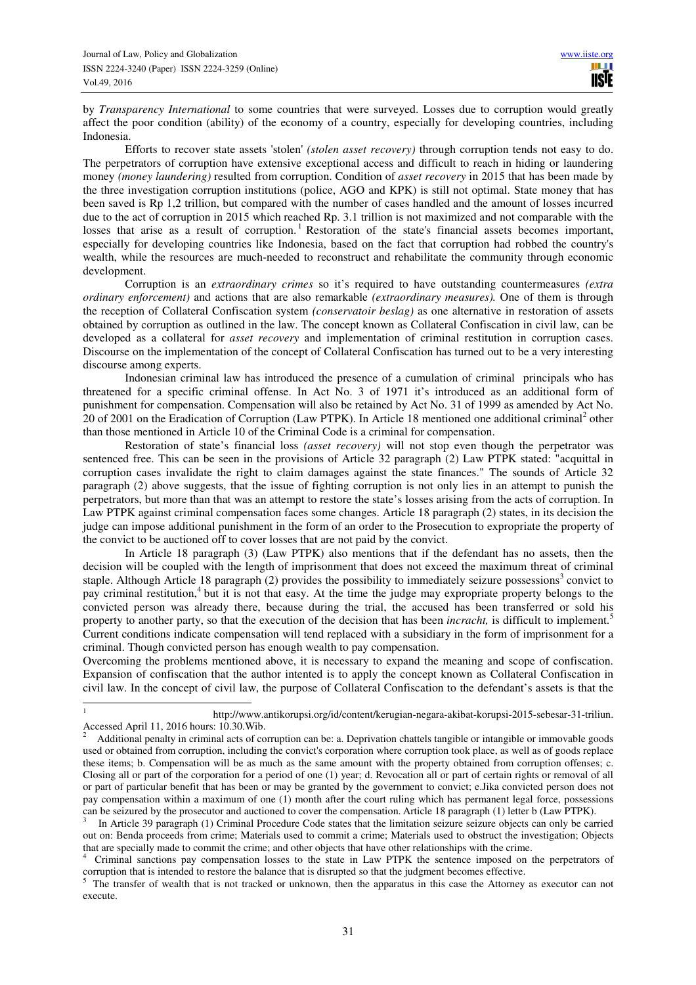$\overline{a}$ 

by *Transparency International* to some countries that were surveyed. Losses due to corruption would greatly affect the poor condition (ability) of the economy of a country, especially for developing countries, including Indonesia.

Efforts to recover state assets 'stolen' *(stolen asset recovery)* through corruption tends not easy to do. The perpetrators of corruption have extensive exceptional access and difficult to reach in hiding or laundering money *(money laundering)* resulted from corruption. Condition of *asset recovery* in 2015 that has been made by the three investigation corruption institutions (police, AGO and KPK) is still not optimal. State money that has been saved is Rp 1,2 trillion, but compared with the number of cases handled and the amount of losses incurred due to the act of corruption in 2015 which reached Rp. 3.1 trillion is not maximized and not comparable with the losses that arise as a result of corruption.<sup>1</sup> Restoration of the state's financial assets becomes important, especially for developing countries like Indonesia, based on the fact that corruption had robbed the country's wealth, while the resources are much-needed to reconstruct and rehabilitate the community through economic development.

Corruption is an *extraordinary crimes* so it's required to have outstanding countermeasures *(extra ordinary enforcement)* and actions that are also remarkable *(extraordinary measures).* One of them is through the reception of Collateral Confiscation system *(conservatoir beslag)* as one alternative in restoration of assets obtained by corruption as outlined in the law. The concept known as Collateral Confiscation in civil law, can be developed as a collateral for *asset recovery* and implementation of criminal restitution in corruption cases. Discourse on the implementation of the concept of Collateral Confiscation has turned out to be a very interesting discourse among experts.

Indonesian criminal law has introduced the presence of a cumulation of criminal principals who has threatened for a specific criminal offense. In Act No. 3 of 1971 it's introduced as an additional form of punishment for compensation. Compensation will also be retained by Act No. 31 of 1999 as amended by Act No. 20 of 2001 on the Eradication of Corruption (Law PTPK). In Article 18 mentioned one additional criminal<sup>2</sup> other than those mentioned in Article 10 of the Criminal Code is a criminal for compensation.

Restoration of state's financial loss *(asset recovery)* will not stop even though the perpetrator was sentenced free. This can be seen in the provisions of Article 32 paragraph (2) Law PTPK stated: "acquittal in corruption cases invalidate the right to claim damages against the state finances." The sounds of Article 32 paragraph (2) above suggests, that the issue of fighting corruption is not only lies in an attempt to punish the perpetrators, but more than that was an attempt to restore the state's losses arising from the acts of corruption. In Law PTPK against criminal compensation faces some changes. Article 18 paragraph (2) states, in its decision the judge can impose additional punishment in the form of an order to the Prosecution to expropriate the property of the convict to be auctioned off to cover losses that are not paid by the convict.

In Article 18 paragraph (3) (Law PTPK) also mentions that if the defendant has no assets, then the decision will be coupled with the length of imprisonment that does not exceed the maximum threat of criminal staple. Although Article 18 paragraph  $(2)$  provides the possibility to immediately seizure possessions<sup>3</sup> convict to pay criminal restitution,<sup>4</sup> but it is not that easy. At the time the judge may expropriate property belongs to the convicted person was already there, because during the trial, the accused has been transferred or sold his property to another party, so that the execution of the decision that has been *incracht,* is difficult to implement.<sup>5</sup> Current conditions indicate compensation will tend replaced with a subsidiary in the form of imprisonment for a criminal. Though convicted person has enough wealth to pay compensation.

Overcoming the problems mentioned above, it is necessary to expand the meaning and scope of confiscation. Expansion of confiscation that the author intented is to apply the concept known as Collateral Confiscation in civil law. In the concept of civil law, the purpose of Collateral Confiscation to the defendant's assets is that the

<sup>1</sup> http://www.antikorupsi.org/id/content/kerugian-negara-akibat-korupsi-2015-sebesar-31-triliun. Accessed April 11, 2016 hours: 10.30.Wib.

<sup>2</sup> Additional penalty in criminal acts of corruption can be: a. Deprivation chattels tangible or intangible or immovable goods used or obtained from corruption, including the convict's corporation where corruption took place, as well as of goods replace these items; b. Compensation will be as much as the same amount with the property obtained from corruption offenses; c. Closing all or part of the corporation for a period of one (1) year; d. Revocation all or part of certain rights or removal of all or part of particular benefit that has been or may be granted by the government to convict; e.Jika convicted person does not pay compensation within a maximum of one (1) month after the court ruling which has permanent legal force, possessions can be seizured by the prosecutor and auctioned to cover the compensation. Article 18 paragraph (1) letter b (Law PTPK).

<sup>3</sup> In Article 39 paragraph (1) Criminal Procedure Code states that the limitation seizure seizure objects can only be carried out on: Benda proceeds from crime; Materials used to commit a crime; Materials used to obstruct the investigation; Objects that are specially made to commit the crime; and other objects that have other relationships with the crime.

<sup>4</sup> Criminal sanctions pay compensation losses to the state in Law PTPK the sentence imposed on the perpetrators of corruption that is intended to restore the balance that is disrupted so that the judgment becomes effective.

<sup>5</sup> The transfer of wealth that is not tracked or unknown, then the apparatus in this case the Attorney as executor can not execute.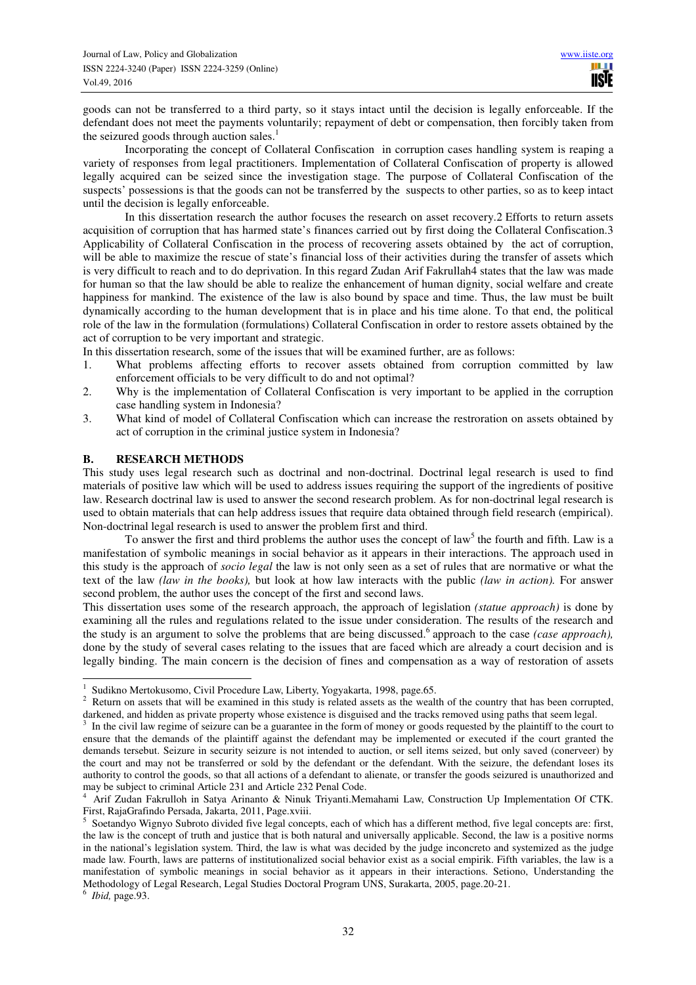goods can not be transferred to a third party, so it stays intact until the decision is legally enforceable. If the defendant does not meet the payments voluntarily; repayment of debt or compensation, then forcibly taken from the seizured goods through auction sales.<sup>1</sup>

Incorporating the concept of Collateral Confiscation in corruption cases handling system is reaping a variety of responses from legal practitioners. Implementation of Collateral Confiscation of property is allowed legally acquired can be seized since the investigation stage. The purpose of Collateral Confiscation of the suspects' possessions is that the goods can not be transferred by the suspects to other parties, so as to keep intact until the decision is legally enforceable.

In this dissertation research the author focuses the research on asset recovery.2 Efforts to return assets acquisition of corruption that has harmed state's finances carried out by first doing the Collateral Confiscation.3 Applicability of Collateral Confiscation in the process of recovering assets obtained by the act of corruption, will be able to maximize the rescue of state's financial loss of their activities during the transfer of assets which is very difficult to reach and to do deprivation. In this regard Zudan Arif Fakrullah4 states that the law was made for human so that the law should be able to realize the enhancement of human dignity, social welfare and create happiness for mankind. The existence of the law is also bound by space and time. Thus, the law must be built dynamically according to the human development that is in place and his time alone. To that end, the political role of the law in the formulation (formulations) Collateral Confiscation in order to restore assets obtained by the act of corruption to be very important and strategic.

In this dissertation research, some of the issues that will be examined further, are as follows:

- 1. What problems affecting efforts to recover assets obtained from corruption committed by law enforcement officials to be very difficult to do and not optimal?
- 2. Why is the implementation of Collateral Confiscation is very important to be applied in the corruption case handling system in Indonesia?
- 3. What kind of model of Collateral Confiscation which can increase the restroration on assets obtained by act of corruption in the criminal justice system in Indonesia?

#### **B. RESEARCH METHODS**

This study uses legal research such as doctrinal and non-doctrinal. Doctrinal legal research is used to find materials of positive law which will be used to address issues requiring the support of the ingredients of positive law. Research doctrinal law is used to answer the second research problem. As for non-doctrinal legal research is used to obtain materials that can help address issues that require data obtained through field research (empirical). Non-doctrinal legal research is used to answer the problem first and third.

To answer the first and third problems the author uses the concept of law<sup>5</sup> the fourth and fifth. Law is a manifestation of symbolic meanings in social behavior as it appears in their interactions. The approach used in this study is the approach of *socio legal* the law is not only seen as a set of rules that are normative or what the text of the law *(law in the books),* but look at how law interacts with the public *(law in action).* For answer second problem, the author uses the concept of the first and second laws.

This dissertation uses some of the research approach, the approach of legislation *(statue approach)* is done by examining all the rules and regulations related to the issue under consideration. The results of the research and the study is an argument to solve the problems that are being discussed.<sup>6</sup> approach to the case *(case approach)*, done by the study of several cases relating to the issues that are faced which are already a court decision and is legally binding. The main concern is the decision of fines and compensation as a way of restoration of assets

<sup>1</sup> Sudikno Mertokusomo, Civil Procedure Law, Liberty, Yogyakarta, 1998, page.65.

<sup>2</sup> Return on assets that will be examined in this study is related assets as the wealth of the country that has been corrupted, darkened, and hidden as private property whose existence is disguised and the tracks removed using paths that seem legal.

<sup>3</sup> In the civil law regime of seizure can be a guarantee in the form of money or goods requested by the plaintiff to the court to ensure that the demands of the plaintiff against the defendant may be implemented or executed if the court granted the demands tersebut. Seizure in security seizure is not intended to auction, or sell items seized, but only saved (conerveer) by the court and may not be transferred or sold by the defendant or the defendant. With the seizure, the defendant loses its authority to control the goods, so that all actions of a defendant to alienate, or transfer the goods seizured is unauthorized and may be subject to criminal Article 231 and Article 232 Penal Code.

<sup>4</sup> Arif Zudan Fakrulloh in Satya Arinanto & Ninuk Triyanti.Memahami Law, Construction Up Implementation Of CTK. First, RajaGrafindo Persada, Jakarta, 2011, Page.xviii.

<sup>5</sup> Soetandyo Wignyo Subroto divided five legal concepts, each of which has a different method, five legal concepts are: first, the law is the concept of truth and justice that is both natural and universally applicable. Second, the law is a positive norms in the national's legislation system. Third, the law is what was decided by the judge inconcreto and systemized as the judge made law. Fourth, laws are patterns of institutionalized social behavior exist as a social empirik. Fifth variables, the law is a manifestation of symbolic meanings in social behavior as it appears in their interactions. Setiono, Understanding the Methodology of Legal Research, Legal Studies Doctoral Program UNS, Surakarta, 2005, page.20-21.

<sup>6</sup> *Ibid,* page.93.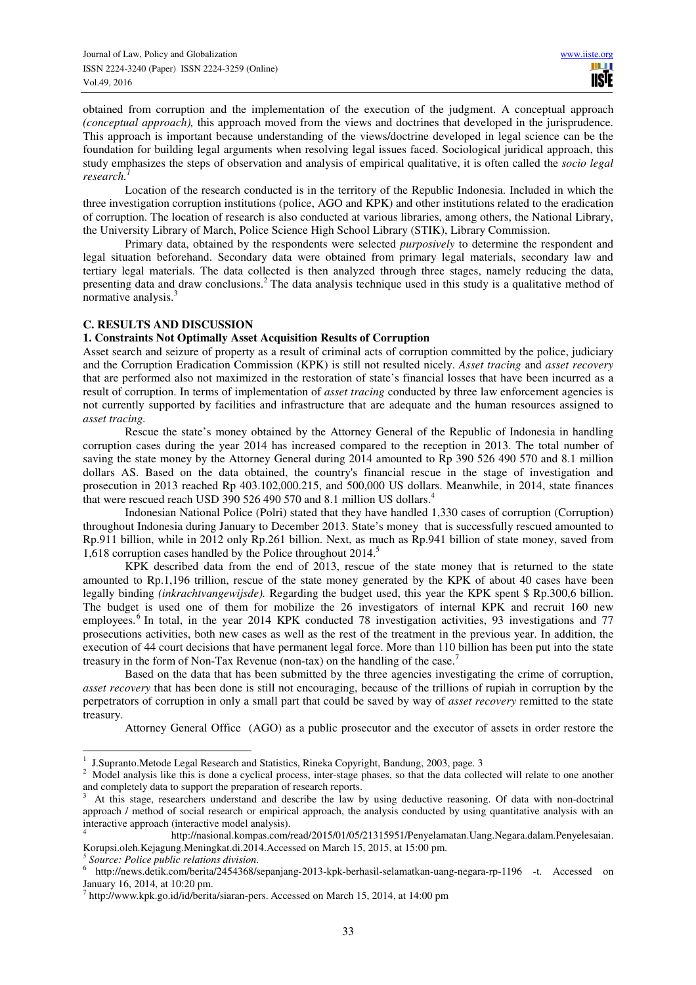obtained from corruption and the implementation of the execution of the judgment. A conceptual approach *(conceptual approach),* this approach moved from the views and doctrines that developed in the jurisprudence. This approach is important because understanding of the views/doctrine developed in legal science can be the foundation for building legal arguments when resolving legal issues faced. Sociological juridical approach, this study emphasizes the steps of observation and analysis of empirical qualitative, it is often called the *socio legal research.<sup>1</sup>*

Location of the research conducted is in the territory of the Republic Indonesia. Included in which the three investigation corruption institutions (police, AGO and KPK) and other institutions related to the eradication of corruption. The location of research is also conducted at various libraries, among others, the National Library, the University Library of March, Police Science High School Library (STIK), Library Commission.

Primary data, obtained by the respondents were selected *purposively* to determine the respondent and legal situation beforehand. Secondary data were obtained from primary legal materials, secondary law and tertiary legal materials. The data collected is then analyzed through three stages, namely reducing the data, presenting data and draw conclusions.<sup>2</sup> The data analysis technique used in this study is a qualitative method of normative analysis.<sup>3</sup>

#### **C. RESULTS AND DISCUSSION**

#### **1. Constraints Not Optimally Asset Acquisition Results of Corruption**

Asset search and seizure of property as a result of criminal acts of corruption committed by the police, judiciary and the Corruption Eradication Commission (KPK) is still not resulted nicely. *Asset tracing* and *asset recovery* that are performed also not maximized in the restoration of state's financial losses that have been incurred as a result of corruption. In terms of implementation of *asset tracing* conducted by three law enforcement agencies is not currently supported by facilities and infrastructure that are adequate and the human resources assigned to *asset tracing.*

Rescue the state's money obtained by the Attorney General of the Republic of Indonesia in handling corruption cases during the year 2014 has increased compared to the reception in 2013. The total number of saving the state money by the Attorney General during 2014 amounted to Rp 390 526 490 570 and 8.1 million dollars AS. Based on the data obtained, the country's financial rescue in the stage of investigation and prosecution in 2013 reached Rp 403.102,000.215, and 500,000 US dollars. Meanwhile, in 2014, state finances that were rescued reach USD 390 526 490 570 and 8.1 million US dollars.<sup>4</sup>

Indonesian National Police (Polri) stated that they have handled 1,330 cases of corruption (Corruption) throughout Indonesia during January to December 2013. State's money that is successfully rescued amounted to Rp.911 billion, while in 2012 only Rp.261 billion. Next, as much as Rp.941 billion of state money, saved from 1,618 corruption cases handled by the Police throughout 2014.<sup>5</sup>

KPK described data from the end of 2013, rescue of the state money that is returned to the state amounted to Rp.1,196 trillion, rescue of the state money generated by the KPK of about 40 cases have been legally binding *(inkrachtvangewijsde).* Regarding the budget used, this year the KPK spent \$ Rp.300,6 billion. The budget is used one of them for mobilize the 26 investigators of internal KPK and recruit 160 new employees.<sup>6</sup> In total, in the year 2014 KPK conducted 78 investigation activities, 93 investigations and 77 prosecutions activities, both new cases as well as the rest of the treatment in the previous year. In addition, the execution of 44 court decisions that have permanent legal force. More than 110 billion has been put into the state treasury in the form of Non-Tax Revenue (non-tax) on the handling of the case.<sup>7</sup>

Based on the data that has been submitted by the three agencies investigating the crime of corruption, *asset recovery* that has been done is still not encouraging, because of the trillions of rupiah in corruption by the perpetrators of corruption in only a small part that could be saved by way of *asset recovery* remitted to the state treasury.

Attorney General Office (AGO) as a public prosecutor and the executor of assets in order restore the

<sup>1</sup> J.Supranto.Metode Legal Research and Statistics, Rineka Copyright, Bandung, 2003, page. 3

<sup>&</sup>lt;sup>2</sup> Model analysis like this is done a cyclical process, inter-stage phases, so that the data collected will relate to one another and completely data to support the preparation of research reports.

<sup>3</sup> At this stage, researchers understand and describe the law by using deductive reasoning. Of data with non-doctrinal approach / method of social research or empirical approach, the analysis conducted by using quantitative analysis with an interactive approach (interactive model analysis).

<sup>4</sup> http://nasional.kompas.com/read/2015/01/05/21315951/Penyelamatan.Uang.Negara.dalam.Penyelesaian. Korupsi.oleh.Kejagung.Meningkat.di.2014.Accessed on March 15, 2015, at 15:00 pm.

*<sup>5</sup> Source: Police public relations division.* 

<sup>6</sup> http://news.detik.com/berita/2454368/sepanjang-2013-kpk-berhasil-selamatkan-uang-negara-rp-1196 -t. Accessed on January 16, 2014, at 10:20 pm.

 $^7$  http://www.kpk.go.id/id/berita/siaran-pers. Accessed on March 15, 2014, at 14:00 pm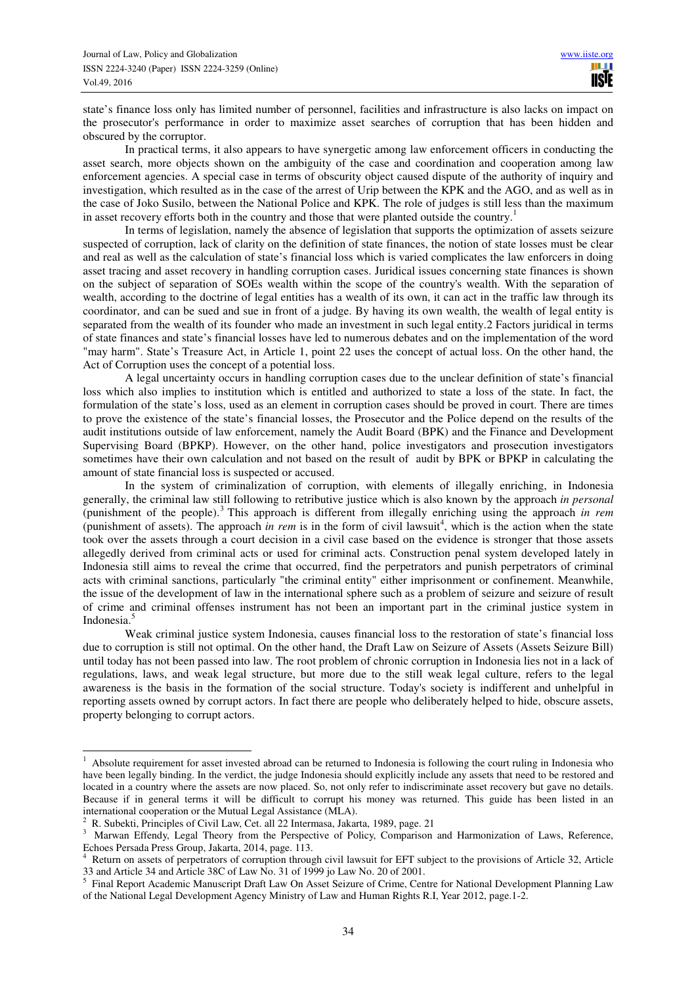state's finance loss only has limited number of personnel, facilities and infrastructure is also lacks on impact on the prosecutor's performance in order to maximize asset searches of corruption that has been hidden and obscured by the corruptor.

In practical terms, it also appears to have synergetic among law enforcement officers in conducting the asset search, more objects shown on the ambiguity of the case and coordination and cooperation among law enforcement agencies. A special case in terms of obscurity object caused dispute of the authority of inquiry and investigation, which resulted as in the case of the arrest of Urip between the KPK and the AGO, and as well as in the case of Joko Susilo, between the National Police and KPK. The role of judges is still less than the maximum in asset recovery efforts both in the country and those that were planted outside the country.<sup>1</sup>

In terms of legislation, namely the absence of legislation that supports the optimization of assets seizure suspected of corruption, lack of clarity on the definition of state finances, the notion of state losses must be clear and real as well as the calculation of state's financial loss which is varied complicates the law enforcers in doing asset tracing and asset recovery in handling corruption cases. Juridical issues concerning state finances is shown on the subject of separation of SOEs wealth within the scope of the country's wealth. With the separation of wealth, according to the doctrine of legal entities has a wealth of its own, it can act in the traffic law through its coordinator, and can be sued and sue in front of a judge. By having its own wealth, the wealth of legal entity is separated from the wealth of its founder who made an investment in such legal entity.2 Factors juridical in terms of state finances and state's financial losses have led to numerous debates and on the implementation of the word "may harm". State's Treasure Act, in Article 1, point 22 uses the concept of actual loss. On the other hand, the Act of Corruption uses the concept of a potential loss.

A legal uncertainty occurs in handling corruption cases due to the unclear definition of state's financial loss which also implies to institution which is entitled and authorized to state a loss of the state. In fact, the formulation of the state's loss, used as an element in corruption cases should be proved in court. There are times to prove the existence of the state's financial losses, the Prosecutor and the Police depend on the results of the audit institutions outside of law enforcement, namely the Audit Board (BPK) and the Finance and Development Supervising Board (BPKP). However, on the other hand, police investigators and prosecution investigators sometimes have their own calculation and not based on the result of audit by BPK or BPKP in calculating the amount of state financial loss is suspected or accused.

In the system of criminalization of corruption, with elements of illegally enriching, in Indonesia generally, the criminal law still following to retributive justice which is also known by the approach *in personal* (punishment of the people).<sup>3</sup> This approach is different from illegally enriching using the approach *in rem* (punishment of assets). The approach *in rem* is in the form of civil lawsuit<sup>4</sup>, which is the action when the state took over the assets through a court decision in a civil case based on the evidence is stronger that those assets allegedly derived from criminal acts or used for criminal acts. Construction penal system developed lately in Indonesia still aims to reveal the crime that occurred, find the perpetrators and punish perpetrators of criminal acts with criminal sanctions, particularly "the criminal entity" either imprisonment or confinement. Meanwhile, the issue of the development of law in the international sphere such as a problem of seizure and seizure of result of crime and criminal offenses instrument has not been an important part in the criminal justice system in Indonesia.<sup>5</sup>

Weak criminal justice system Indonesia, causes financial loss to the restoration of state's financial loss due to corruption is still not optimal. On the other hand, the Draft Law on Seizure of Assets (Assets Seizure Bill) until today has not been passed into law. The root problem of chronic corruption in Indonesia lies not in a lack of regulations, laws, and weak legal structure, but more due to the still weak legal culture, refers to the legal awareness is the basis in the formation of the social structure. Today's society is indifferent and unhelpful in reporting assets owned by corrupt actors. In fact there are people who deliberately helped to hide, obscure assets, property belonging to corrupt actors.

<sup>1</sup> Absolute requirement for asset invested abroad can be returned to Indonesia is following the court ruling in Indonesia who have been legally binding. In the verdict, the judge Indonesia should explicitly include any assets that need to be restored and located in a country where the assets are now placed. So, not only refer to indiscriminate asset recovery but gave no details. Because if in general terms it will be difficult to corrupt his money was returned. This guide has been listed in an international cooperation or the Mutual Legal Assistance (MLA).

<sup>2</sup> R. Subekti, Principles of Civil Law, Cet. all 22 Intermasa, Jakarta, 1989, page. 21

<sup>3</sup> Marwan Effendy, Legal Theory from the Perspective of Policy, Comparison and Harmonization of Laws, Reference, Echoes Persada Press Group, Jakarta, 2014, page. 113.

<sup>4</sup> Return on assets of perpetrators of corruption through civil lawsuit for EFT subject to the provisions of Article 32, Article 33 and Article 34 and Article 38C of Law No. 31 of 1999 jo Law No. 20 of 2001.<br><sup>5</sup> Final Pepert Academic Manuscript Draft Law On Asset Seizure of Crime, Cap

Final Report Academic Manuscript Draft Law On Asset Seizure of Crime, Centre for National Development Planning Law of the National Legal Development Agency Ministry of Law and Human Rights R.I, Year 2012, page.1-2.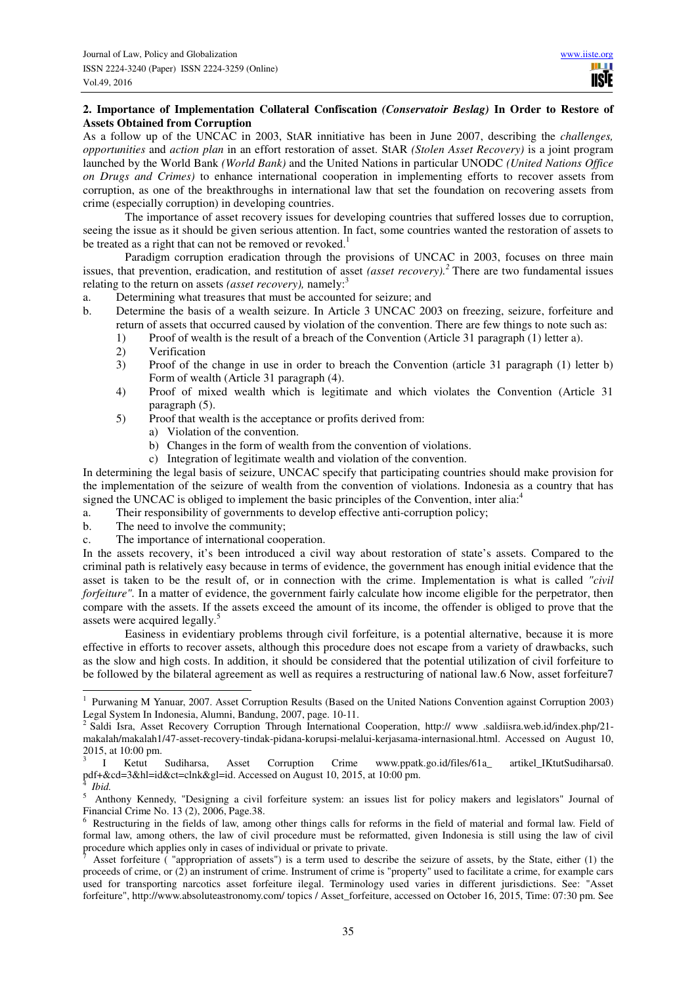# **2. Importance of Implementation Collateral Confiscation** *(Conservatoir Beslag)* **In Order to Restore of Assets Obtained from Corruption**

As a follow up of the UNCAC in 2003, StAR innitiative has been in June 2007, describing the *challenges, opportunities* and *action plan* in an effort restoration of asset. StAR *(Stolen Asset Recovery)* is a joint program launched by the World Bank *(World Bank)* and the United Nations in particular UNODC *(United Nations Office on Drugs and Crimes)* to enhance international cooperation in implementing efforts to recover assets from corruption, as one of the breakthroughs in international law that set the foundation on recovering assets from crime (especially corruption) in developing countries.

The importance of asset recovery issues for developing countries that suffered losses due to corruption, seeing the issue as it should be given serious attention. In fact, some countries wanted the restoration of assets to be treated as a right that can not be removed or revoked.<sup>1</sup>

Paradigm corruption eradication through the provisions of UNCAC in 2003, focuses on three main issues, that prevention, eradication, and restitution of asset *(asset recovery).<sup>2</sup>* There are two fundamental issues relating to the return on assets *(asset recovery)*, namely:<sup>3</sup>

- a. Determining what treasures that must be accounted for seizure; and
- b. Determine the basis of a wealth seizure. In Article 3 UNCAC 2003 on freezing, seizure, forfeiture and return of assets that occurred caused by violation of the convention. There are few things to note such as:
	- 1) Proof of wealth is the result of a breach of the Convention (Article 31 paragraph (1) letter a).
	- 2) Verification
	- 3) Proof of the change in use in order to breach the Convention (article 31 paragraph (1) letter b) Form of wealth (Article 31 paragraph (4).
	- 4) Proof of mixed wealth which is legitimate and which violates the Convention (Article 31 paragraph (5).
	- 5) Proof that wealth is the acceptance or profits derived from:
		- a) Violation of the convention.
		- b) Changes in the form of wealth from the convention of violations.
		- c) Integration of legitimate wealth and violation of the convention.

In determining the legal basis of seizure, UNCAC specify that participating countries should make provision for the implementation of the seizure of wealth from the convention of violations. Indonesia as a country that has signed the UNCAC is obliged to implement the basic principles of the Convention, inter alia: $4$ 

- a. Their responsibility of governments to develop effective anti-corruption policy;
- b. The need to involve the community;
- c. The importance of international cooperation.

In the assets recovery, it's been introduced a civil way about restoration of state's assets. Compared to the criminal path is relatively easy because in terms of evidence, the government has enough initial evidence that the asset is taken to be the result of, or in connection with the crime. Implementation is what is called *"civil forfeiture"*. In a matter of evidence, the government fairly calculate how income eligible for the perpetrator, then compare with the assets. If the assets exceed the amount of its income, the offender is obliged to prove that the assets were acquired legally.<sup>5</sup>

Easiness in evidentiary problems through civil forfeiture, is a potential alternative, because it is more effective in efforts to recover assets, although this procedure does not escape from a variety of drawbacks, such as the slow and high costs. In addition, it should be considered that the potential utilization of civil forfeiture to be followed by the bilateral agreement as well as requires a restructuring of national law.6 Now, asset forfeiture7

 1 Purwaning M Yanuar, 2007. Asset Corruption Results (Based on the United Nations Convention against Corruption 2003) Legal System In Indonesia, Alumni, Bandung, 2007, page. 10-11.

<sup>&</sup>lt;sup>2</sup> Saldi Isra, Asset Recovery Corruption Through International Cooperation, http:// www .saldiisra.web.id/index.php/21makalah/makalah1/47-asset-recovery-tindak-pidana-korupsi-melalui-kerjasama-internasional.html. Accessed on August 10, 2015, at 10:00 pm.

<sup>3</sup> I Ketut Sudiharsa, Asset Corruption Crime www.ppatk.go.id/files/61a\_ artikel\_IKtutSudiharsa0. pdf+&cd=3&hl=id&ct=clnk&gl=id. Accessed on August 10, 2015, at 10:00 pm.

<sup>4</sup> *Ibid.*

<sup>&</sup>lt;sup>5</sup> Anthony Kennedy, "Designing a civil forfeiture system: an issues list for policy makers and legislators" Journal of Financial Crime No. 13 (2), 2006, Page.38.

<sup>6</sup> Restructuring in the fields of law, among other things calls for reforms in the field of material and formal law. Field of formal law, among others, the law of civil procedure must be reformatted, given Indonesia is still using the law of civil procedure which applies only in cases of individual or private to private.

<sup>7</sup> Asset forfeiture ( "appropriation of assets") is a term used to describe the seizure of assets, by the State, either (1) the proceeds of crime, or (2) an instrument of crime. Instrument of crime is "property" used to facilitate a crime, for example cars used for transporting narcotics asset forfeiture ilegal. Terminology used varies in different jurisdictions. See: "Asset forfeiture", http://www.absoluteastronomy.com/ topics / Asset\_forfeiture, accessed on October 16, 2015, Time: 07:30 pm. See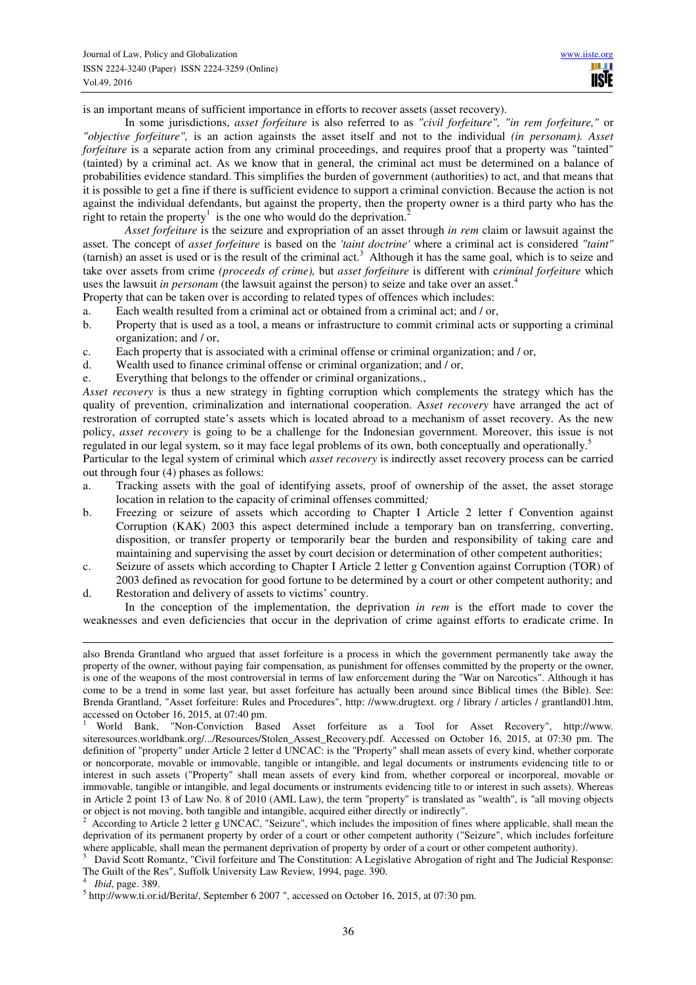is an important means of sufficient importance in efforts to recover assets (asset recovery).

In some jurisdictions, *asset forfeiture* is also referred to as *"civil forfeiture", "in rem forfeiture,"* or *"objective forfeiture",* is an action againsts the asset itself and not to the individual *(in personam). Asset forfeiture* is a separate action from any criminal proceedings, and requires proof that a property was "tainted" (tainted) by a criminal act. As we know that in general, the criminal act must be determined on a balance of probabilities evidence standard. This simplifies the burden of government (authorities) to act, and that means that it is possible to get a fine if there is sufficient evidence to support a criminal conviction. Because the action is not against the individual defendants, but against the property, then the property owner is a third party who has the right to retain the property<sup>1</sup> is the one who would do the deprivation.<sup>2</sup>

*Asset forfeiture* is the seizure and expropriation of an asset through *in rem* claim or lawsuit against the asset. The concept of *asset forfeiture* is based on the *'taint doctrine'* where a criminal act is considered *"taint"*  $($ tarnish $)$  an asset is used or is the result of the criminal act.<sup>3</sup> Although it has the same goal, which is to seize and take over assets from crime *(proceeds of crime),* but *asset forfeiture* is different with c*riminal forfeiture* which uses the lawsuit *in personam* (the lawsuit against the person) to seize and take over an asset.<sup>4</sup>

Property that can be taken over is according to related types of offences which includes:

- a. Each wealth resulted from a criminal act or obtained from a criminal act; and / or,
- b. Property that is used as a tool, a means or infrastructure to commit criminal acts or supporting a criminal organization; and / or,
- c. Each property that is associated with a criminal offense or criminal organization; and / or,
- d. Wealth used to finance criminal offense or criminal organization; and / or,
- e. Everything that belongs to the offender or criminal organizations.,

*Asset recovery* is thus a new strategy in fighting corruption which complements the strategy which has the quality of prevention, criminalization and international cooperation. A*sset recovery* have arranged the act of restroration of corrupted state's assets which is located abroad to a mechanism of asset recovery. As the new policy, *asset recovery* is going to be a challenge for the Indonesian government. Moreover, this issue is not regulated in our legal system, so it may face legal problems of its own, both conceptually and operationally.<sup>5</sup>

Particular to the legal system of criminal which *asset recovery* is indirectly asset recovery process can be carried out through four (4) phases as follows:

- a. Tracking assets with the goal of identifying assets, proof of ownership of the asset, the asset storage location in relation to the capacity of criminal offenses committed*;*
- b. Freezing or seizure of assets which according to Chapter I Article 2 letter f Convention against Corruption (KAK) 2003 this aspect determined include a temporary ban on transferring, converting, disposition, or transfer property or temporarily bear the burden and responsibility of taking care and maintaining and supervising the asset by court decision or determination of other competent authorities;
- c. Seizure of assets which according to Chapter I Article 2 letter g Convention against Corruption (TOR) of 2003 defined as revocation for good fortune to be determined by a court or other competent authority; and
- d. Restoration and delivery of assets to victims' country.

In the conception of the implementation, the deprivation *in rem* is the effort made to cover the weaknesses and even deficiencies that occur in the deprivation of crime against efforts to eradicate crime. In

also Brenda Grantland who argued that asset forfeiture is a process in which the government permanently take away the property of the owner, without paying fair compensation, as punishment for offenses committed by the property or the owner, is one of the weapons of the most controversial in terms of law enforcement during the "War on Narcotics". Although it has come to be a trend in some last year, but asset forfeiture has actually been around since Biblical times (the Bible). See: Brenda Grantland, "Asset forfeiture: Rules and Procedures", http: //www.drugtext. org / library / articles / grantland01.htm, accessed on October 16, 2015, at 07:40 pm.

<sup>1</sup> World Bank, "Non-Conviction Based Asset forfeiture as a Tool for Asset Recovery", http://www. siteresources.worldbank.org/.../Resources/Stolen\_Assest\_Recovery.pdf. Accessed on October 16, 2015, at 07:30 pm. The definition of "property" under Article 2 letter d UNCAC: is the "Property" shall mean assets of every kind, whether corporate or noncorporate, movable or immovable, tangible or intangible, and legal documents or instruments evidencing title to or interest in such assets ("Property" shall mean assets of every kind from, whether corporeal or incorporeal, movable or immovable, tangible or intangible, and legal documents or instruments evidencing title to or interest in such assets). Whereas in Article 2 point 13 of Law No. 8 of 2010 (AML Law), the term "property" is translated as "wealth", is "all moving objects or object is not moving, both tangible and intangible, acquired either directly or indirectly".

<sup>2</sup> According to Article 2 letter g UNCAC, "Seizure", which includes the imposition of fines where applicable, shall mean the deprivation of its permanent property by order of a court or other competent authority ("Seizure", which includes forfeiture where applicable, shall mean the permanent deprivation of property by order of a court or other competent authority).

<sup>3</sup> David Scott Romantz, "Civil forfeiture and The Constitution: A Legislative Abrogation of right and The Judicial Response: The Guilt of the Res", Suffolk University Law Review, 1994, page. 390.

<sup>4</sup> *Ibid*, page. 389.

<sup>&</sup>lt;sup>5</sup> http://www.ti.or.id/Berita/, September 6 2007 ", accessed on October 16, 2015, at 07:30 pm.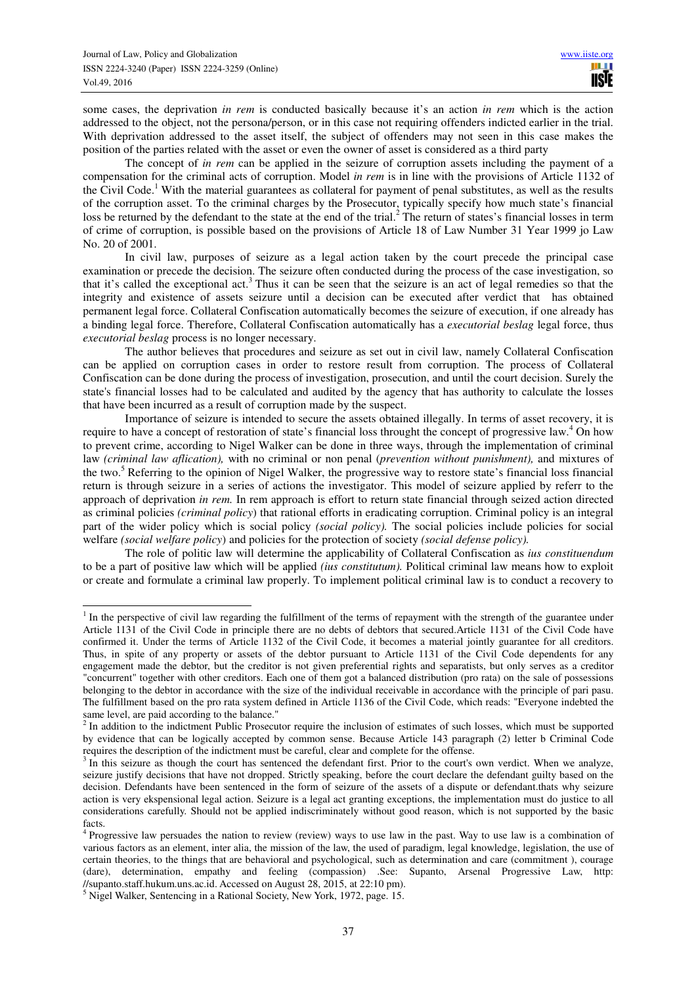$\overline{a}$ 

some cases, the deprivation *in rem* is conducted basically because it's an action *in rem* which is the action addressed to the object, not the persona/person, or in this case not requiring offenders indicted earlier in the trial. With deprivation addressed to the asset itself, the subject of offenders may not seen in this case makes the position of the parties related with the asset or even the owner of asset is considered as a third party

The concept of *in rem* can be applied in the seizure of corruption assets including the payment of a compensation for the criminal acts of corruption. Model *in rem* is in line with the provisions of Article 1132 of the Civil Code.<sup>1</sup> With the material guarantees as collateral for payment of penal substitutes, as well as the results of the corruption asset. To the criminal charges by the Prosecutor, typically specify how much state's financial loss be returned by the defendant to the state at the end of the trial.<sup>2</sup> The return of states's financial losses in term of crime of corruption, is possible based on the provisions of Article 18 of Law Number 31 Year 1999 jo Law No. 20 of 2001.

In civil law, purposes of seizure as a legal action taken by the court precede the principal case examination or precede the decision. The seizure often conducted during the process of the case investigation, so that it's called the exceptional act.<sup>3</sup> Thus it can be seen that the seizure is an act of legal remedies so that the integrity and existence of assets seizure until a decision can be executed after verdict that has obtained permanent legal force. Collateral Confiscation automatically becomes the seizure of execution, if one already has a binding legal force. Therefore, Collateral Confiscation automatically has a *executorial beslag* legal force, thus *executorial beslag* process is no longer necessary.

The author believes that procedures and seizure as set out in civil law, namely Collateral Confiscation can be applied on corruption cases in order to restore result from corruption. The process of Collateral Confiscation can be done during the process of investigation, prosecution, and until the court decision. Surely the state's financial losses had to be calculated and audited by the agency that has authority to calculate the losses that have been incurred as a result of corruption made by the suspect.

Importance of seizure is intended to secure the assets obtained illegally. In terms of asset recovery, it is require to have a concept of restoration of state's financial loss throught the concept of progressive law.<sup>4</sup> On how to prevent crime, according to Nigel Walker can be done in three ways, through the implementation of criminal law *(criminal law aflication),* with no criminal or non penal (*prevention without punishment),* and mixtures of the two.<sup>5</sup> Referring to the opinion of Nigel Walker, the progressive way to restore state's financial loss financial return is through seizure in a series of actions the investigator. This model of seizure applied by referr to the approach of deprivation *in rem.* In rem approach is effort to return state financial through seized action directed as criminal policies *(criminal policy*) that rational efforts in eradicating corruption. Criminal policy is an integral part of the wider policy which is social policy *(social policy).* The social policies include policies for social welfare *(social welfare policy*) and policies for the protection of society *(social defense policy).* 

The role of politic law will determine the applicability of Collateral Confiscation as *ius constituendum* to be a part of positive law which will be applied *(ius constitutum).* Political criminal law means how to exploit or create and formulate a criminal law properly. To implement political criminal law is to conduct a recovery to

<sup>&</sup>lt;sup>1</sup> In the perspective of civil law regarding the fulfillment of the terms of repayment with the strength of the guarantee under Article 1131 of the Civil Code in principle there are no debts of debtors that secured.Article 1131 of the Civil Code have confirmed it. Under the terms of Article 1132 of the Civil Code, it becomes a material jointly guarantee for all creditors. Thus, in spite of any property or assets of the debtor pursuant to Article 1131 of the Civil Code dependents for any engagement made the debtor, but the creditor is not given preferential rights and separatists, but only serves as a creditor "concurrent" together with other creditors. Each one of them got a balanced distribution (pro rata) on the sale of possessions belonging to the debtor in accordance with the size of the individual receivable in accordance with the principle of pari pasu. The fulfillment based on the pro rata system defined in Article 1136 of the Civil Code, which reads: "Everyone indebted the same level, are paid according to the balance."

 $2$  In addition to the indictment Public Prosecutor require the inclusion of estimates of such losses, which must be supported by evidence that can be logically accepted by common sense. Because Article 143 paragraph (2) letter b Criminal Code requires the description of the indictment must be careful, clear and complete for the offense.

 $3 \text{ In this seizure as though the court has sentenced the defendant first. Prior to the court's own verdict. When we analyze,$ seizure justify decisions that have not dropped. Strictly speaking, before the court declare the defendant guilty based on the decision. Defendants have been sentenced in the form of seizure of the assets of a dispute or defendant.thats why seizure action is very ekspensional legal action. Seizure is a legal act granting exceptions, the implementation must do justice to all considerations carefully. Should not be applied indiscriminately without good reason, which is not supported by the basic facts.

<sup>&</sup>lt;sup>4</sup> Progressive law persuades the nation to review (review) ways to use law in the past. Way to use law is a combination of various factors as an element, inter alia, the mission of the law, the used of paradigm, legal knowledge, legislation, the use of certain theories, to the things that are behavioral and psychological, such as determination and care (commitment ), courage (dare), determination, empathy and feeling (compassion) .See: Supanto, Arsenal Progressive Law, http: //supanto.staff.hukum.uns.ac.id. Accessed on August 28, 2015, at 22:10 pm).

<sup>&</sup>lt;sup>5</sup> Nigel Walker, Sentencing in a Rational Society, New York, 1972, page. 15.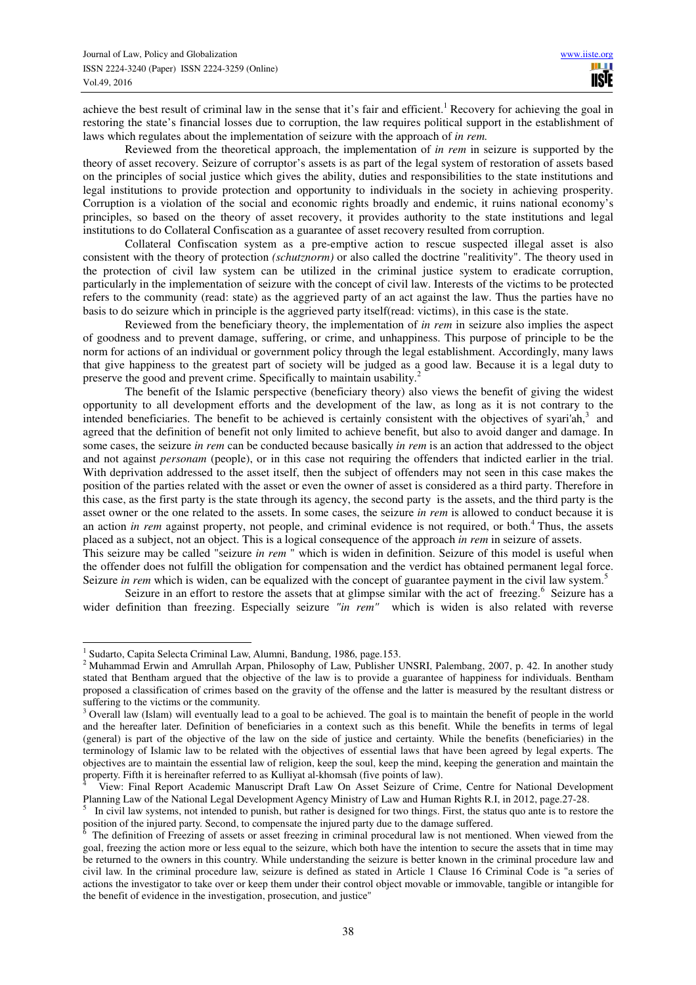achieve the best result of criminal law in the sense that it's fair and efficient.<sup>1</sup> Recovery for achieving the goal in restoring the state's financial losses due to corruption, the law requires political support in the establishment of laws which regulates about the implementation of seizure with the approach of *in rem.*

Reviewed from the theoretical approach, the implementation of *in rem* in seizure is supported by the theory of asset recovery. Seizure of corruptor's assets is as part of the legal system of restoration of assets based on the principles of social justice which gives the ability, duties and responsibilities to the state institutions and legal institutions to provide protection and opportunity to individuals in the society in achieving prosperity. Corruption is a violation of the social and economic rights broadly and endemic, it ruins national economy's principles, so based on the theory of asset recovery, it provides authority to the state institutions and legal institutions to do Collateral Confiscation as a guarantee of asset recovery resulted from corruption.

Collateral Confiscation system as a pre-emptive action to rescue suspected illegal asset is also consistent with the theory of protection *(schutznorm)* or also called the doctrine "realitivity". The theory used in the protection of civil law system can be utilized in the criminal justice system to eradicate corruption, particularly in the implementation of seizure with the concept of civil law. Interests of the victims to be protected refers to the community (read: state) as the aggrieved party of an act against the law. Thus the parties have no basis to do seizure which in principle is the aggrieved party itself(read: victims), in this case is the state.

Reviewed from the beneficiary theory, the implementation of *in rem* in seizure also implies the aspect of goodness and to prevent damage, suffering, or crime, and unhappiness. This purpose of principle to be the norm for actions of an individual or government policy through the legal establishment. Accordingly, many laws that give happiness to the greatest part of society will be judged as a good law. Because it is a legal duty to preserve the good and prevent crime. Specifically to maintain usability.<sup>2</sup>

The benefit of the Islamic perspective (beneficiary theory) also views the benefit of giving the widest opportunity to all development efforts and the development of the law, as long as it is not contrary to the intended beneficiaries. The benefit to be achieved is certainly consistent with the objectives of syari'ah, $3$  and agreed that the definition of benefit not only limited to achieve benefit, but also to avoid danger and damage. In some cases, the seizure *in rem* can be conducted because basically *in rem* is an action that addressed to the object and not against *personam* (people), or in this case not requiring the offenders that indicted earlier in the trial. With deprivation addressed to the asset itself, then the subject of offenders may not seen in this case makes the position of the parties related with the asset or even the owner of asset is considered as a third party. Therefore in this case, as the first party is the state through its agency, the second party is the assets, and the third party is the asset owner or the one related to the assets. In some cases, the seizure *in rem* is allowed to conduct because it is an action *in rem* against property, not people, and criminal evidence is not required, or both.<sup>4</sup> Thus, the assets placed as a subject, not an object. This is a logical consequence of the approach *in rem* in seizure of assets. This seizure may be called "seizure *in rem* " which is widen in definition. Seizure of this model is useful when

the offender does not fulfill the obligation for compensation and the verdict has obtained permanent legal force. Seizure *in rem* which is widen, can be equalized with the concept of guarantee payment in the civil law system.<sup>5</sup>

Seizure in an effort to restore the assets that at glimpse similar with the act of freezing.<sup>6</sup> Seizure has a wider definition than freezing. Especially seizure *"in rem"* which is widen is also related with reverse

<sup>&</sup>lt;sup>1</sup> Sudarto, Capita Selecta Criminal Law, Alumni, Bandung, 1986, page.153.

 $2$  Muhammad Erwin and Amrullah Arpan, Philosophy of Law, Publisher UNSRI, Palembang, 2007, p. 42. In another study stated that Bentham argued that the objective of the law is to provide a guarantee of happiness for individuals. Bentham proposed a classification of crimes based on the gravity of the offense and the latter is measured by the resultant distress or suffering to the victims or the community.

<sup>&</sup>lt;sup>3</sup> Overall law (Islam) will eventually lead to a goal to be achieved. The goal is to maintain the benefit of people in the world and the hereafter later. Definition of beneficiaries in a context such as this benefit. While the benefits in terms of legal (general) is part of the objective of the law on the side of justice and certainty. While the benefits (beneficiaries) in the terminology of Islamic law to be related with the objectives of essential laws that have been agreed by legal experts. The objectives are to maintain the essential law of religion, keep the soul, keep the mind, keeping the generation and maintain the property. Fifth it is hereinafter referred to as Kulliyat al-khomsah (five points of law).

<sup>4</sup> View: Final Report Academic Manuscript Draft Law On Asset Seizure of Crime, Centre for National Development Planning Law of the National Legal Development Agency Ministry of Law and Human Rights R.I, in 2012, page.27-28.

<sup>5</sup> In civil law systems, not intended to punish, but rather is designed for two things. First, the status quo ante is to restore the position of the injured party. Second, to compensate the injured party due to the damage suffered.<br><sup>6</sup> The definition of Freezing of assets or asset freezing in criminal procedural law is not mention

The definition of Freezing of assets or asset freezing in criminal procedural law is not mentioned. When viewed from the goal, freezing the action more or less equal to the seizure, which both have the intention to secure the assets that in time may be returned to the owners in this country. While understanding the seizure is better known in the criminal procedure law and civil law. In the criminal procedure law, seizure is defined as stated in Article 1 Clause 16 Criminal Code is "a series of actions the investigator to take over or keep them under their control object movable or immovable, tangible or intangible for the benefit of evidence in the investigation, prosecution, and justice"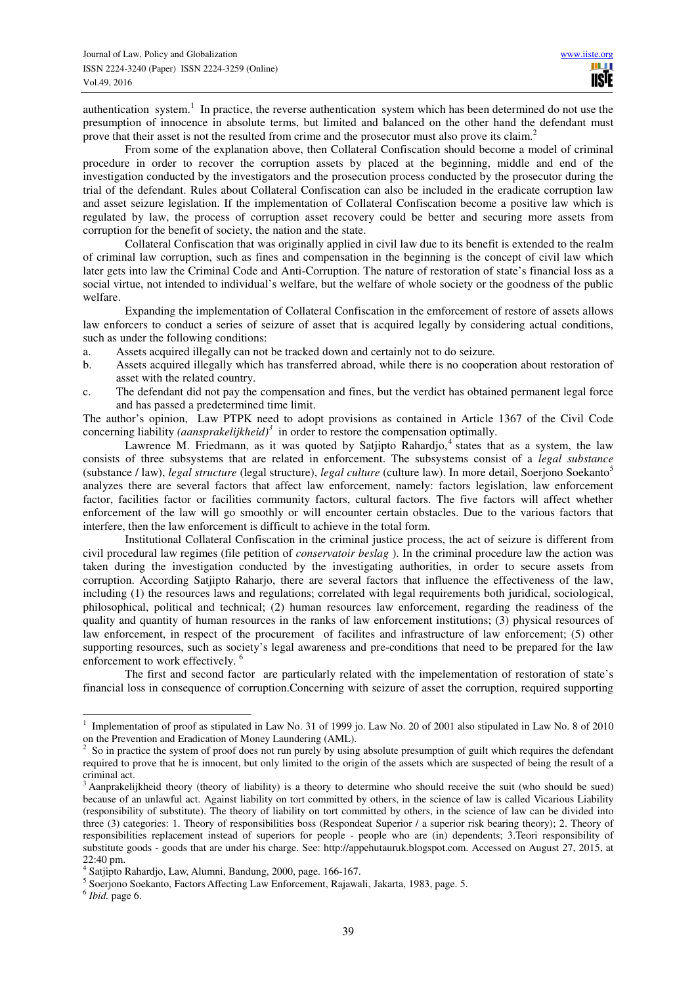authentication system.<sup>1</sup> In practice, the reverse authentication system which has been determined do not use the presumption of innocence in absolute terms, but limited and balanced on the other hand the defendant must prove that their asset is not the resulted from crime and the prosecutor must also prove its claim.<sup>2</sup>

From some of the explanation above, then Collateral Confiscation should become a model of criminal procedure in order to recover the corruption assets by placed at the beginning, middle and end of the investigation conducted by the investigators and the prosecution process conducted by the prosecutor during the trial of the defendant. Rules about Collateral Confiscation can also be included in the eradicate corruption law and asset seizure legislation. If the implementation of Collateral Confiscation become a positive law which is regulated by law, the process of corruption asset recovery could be better and securing more assets from corruption for the benefit of society, the nation and the state.

Collateral Confiscation that was originally applied in civil law due to its benefit is extended to the realm of criminal law corruption, such as fines and compensation in the beginning is the concept of civil law which later gets into law the Criminal Code and Anti-Corruption. The nature of restoration of state's financial loss as a social virtue, not intended to individual's welfare, but the welfare of whole society or the goodness of the public welfare.

Expanding the implementation of Collateral Confiscation in the emforcement of restore of assets allows law enforcers to conduct a series of seizure of asset that is acquired legally by considering actual conditions, such as under the following conditions:

- a. Assets acquired illegally can not be tracked down and certainly not to do seizure.
- b. Assets acquired illegally which has transferred abroad, while there is no cooperation about restoration of asset with the related country.
- c. The defendant did not pay the compensation and fines, but the verdict has obtained permanent legal force and has passed a predetermined time limit.

The author's opinion, Law PTPK need to adopt provisions as contained in Article 1367 of the Civil Code concerning liability *(aansprakelijkheid)<sup>3</sup>* in order to restore the compensation optimally.

Lawrence M. Friedmann, as it was quoted by Satjipto Rahardjo,<sup>4</sup> states that as a system, the law consists of three subsystems that are related in enforcement. The subsystems consist of a *legal substance* (substance / law), *legal structure* (legal structure), *legal culture* (culture law). In more detail, Soerjono Soekanto<sup>5</sup> analyzes there are several factors that affect law enforcement, namely: factors legislation, law enforcement factor, facilities factor or facilities community factors, cultural factors. The five factors will affect whether enforcement of the law will go smoothly or will encounter certain obstacles. Due to the various factors that interfere, then the law enforcement is difficult to achieve in the total form.

Institutional Collateral Confiscation in the criminal justice process, the act of seizure is different from civil procedural law regimes (file petition of *conservatoir beslag* ). In the criminal procedure law the action was taken during the investigation conducted by the investigating authorities, in order to secure assets from corruption. According Satjipto Raharjo, there are several factors that influence the effectiveness of the law, including (1) the resources laws and regulations; correlated with legal requirements both juridical, sociological, philosophical, political and technical; (2) human resources law enforcement, regarding the readiness of the quality and quantity of human resources in the ranks of law enforcement institutions; (3) physical resources of law enforcement, in respect of the procurement of facilites and infrastructure of law enforcement; (5) other supporting resources, such as society's legal awareness and pre-conditions that need to be prepared for the law enforcement to work effectively.<sup>6</sup>

The first and second factor are particularly related with the impelementation of restoration of state's financial loss in consequence of corruption.Concerning with seizure of asset the corruption, required supporting

 1 Implementation of proof as stipulated in Law No. 31 of 1999 jo. Law No. 20 of 2001 also stipulated in Law No. 8 of 2010 on the Prevention and Eradication of Money Laundering (AML).

<sup>2</sup> So in practice the system of proof does not run purely by using absolute presumption of guilt which requires the defendant required to prove that he is innocent, but only limited to the origin of the assets which are suspected of being the result of a criminal act.

<sup>&</sup>lt;sup>3</sup> Aanprakelijkheid theory (theory of liability) is a theory to determine who should receive the suit (who should be sued) because of an unlawful act. Against liability on tort committed by others, in the science of law is called Vicarious Liability (responsibility of substitute). The theory of liability on tort committed by others, in the science of law can be divided into three (3) categories: 1. Theory of responsibilities boss (Respondeat Superior / a superior risk bearing theory); 2. Theory of responsibilities replacement instead of superiors for people - people who are (in) dependents; 3.Teori responsibility of substitute goods - goods that are under his charge. See: http://appehutauruk.blogspot.com. Accessed on August 27, 2015, at 22:40 pm.

<sup>4</sup> Satjipto Rahardjo, Law, Alumni, Bandung, 2000, page. 166-167.

<sup>&</sup>lt;sup>5</sup> Soerjono Soekanto, Factors Affecting Law Enforcement, Rajawali, Jakarta, 1983, page. 5.

<sup>6</sup> *Ibid.* page 6.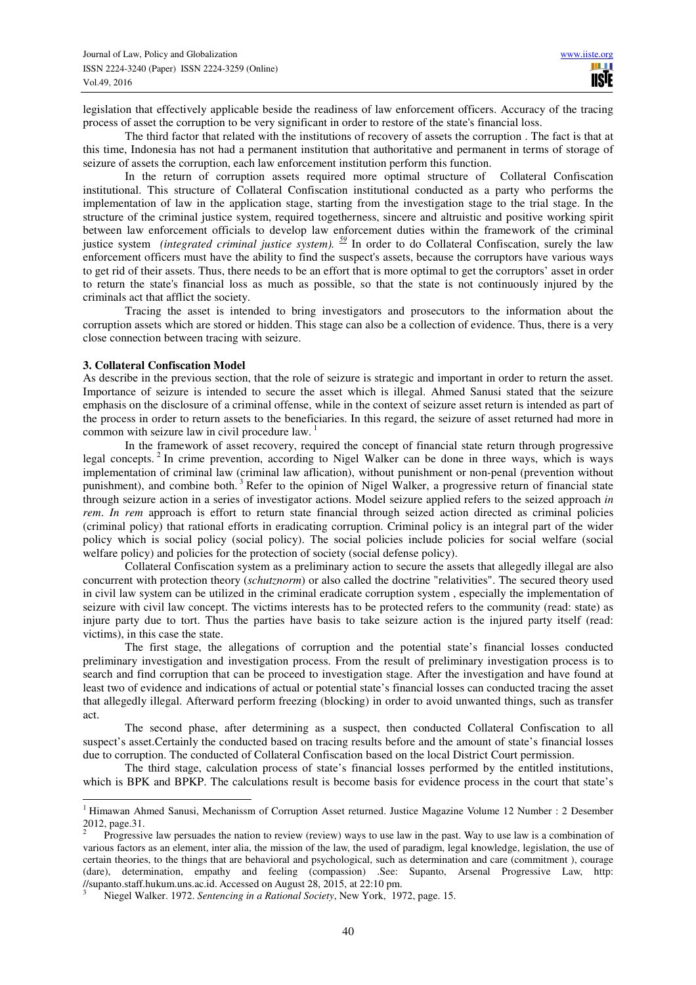legislation that effectively applicable beside the readiness of law enforcement officers. Accuracy of the tracing process of asset the corruption to be very significant in order to restore of the state's financial loss.

The third factor that related with the institutions of recovery of assets the corruption . The fact is that at this time, Indonesia has not had a permanent institution that authoritative and permanent in terms of storage of seizure of assets the corruption, each law enforcement institution perform this function.

In the return of corruption assets required more optimal structure of Collateral Confiscation institutional. This structure of Collateral Confiscation institutional conducted as a party who performs the implementation of law in the application stage, starting from the investigation stage to the trial stage. In the structure of the criminal justice system, required togetherness, sincere and altruistic and positive working spirit between law enforcement officials to develop law enforcement duties within the framework of the criminal justice system *(integrated criminal justice system).*  $\frac{59}{2}$  In order to do Collateral Confiscation, surely the law enforcement officers must have the ability to find the suspect's assets, because the corruptors have various ways to get rid of their assets. Thus, there needs to be an effort that is more optimal to get the corruptors' asset in order to return the state's financial loss as much as possible, so that the state is not continuously injured by the criminals act that afflict the society.

Tracing the asset is intended to bring investigators and prosecutors to the information about the corruption assets which are stored or hidden. This stage can also be a collection of evidence. Thus, there is a very close connection between tracing with seizure.

#### **3. Collateral Confiscation Model**

 $\overline{a}$ 

As describe in the previous section, that the role of seizure is strategic and important in order to return the asset. Importance of seizure is intended to secure the asset which is illegal. Ahmed Sanusi stated that the seizure emphasis on the disclosure of a criminal offense, while in the context of seizure asset return is intended as part of the process in order to return assets to the beneficiaries. In this regard, the seizure of asset returned had more in common with seizure law in civil procedure law.<sup>1</sup>

In the framework of asset recovery, required the concept of financial state return through progressive legal concepts.<sup>2</sup> In crime prevention, according to Nigel Walker can be done in three ways, which is ways implementation of criminal law (criminal law aflication), without punishment or non-penal (prevention without punishment), and combine both.<sup>3</sup> Refer to the opinion of Nigel Walker, a progressive return of financial state through seizure action in a series of investigator actions. Model seizure applied refers to the seized approach *in rem*. *In rem* approach is effort to return state financial through seized action directed as criminal policies (criminal policy) that rational efforts in eradicating corruption. Criminal policy is an integral part of the wider policy which is social policy (social policy). The social policies include policies for social welfare (social welfare policy) and policies for the protection of society (social defense policy).

Collateral Confiscation system as a preliminary action to secure the assets that allegedly illegal are also concurrent with protection theory (*schutznorm*) or also called the doctrine "relativities". The secured theory used in civil law system can be utilized in the criminal eradicate corruption system , especially the implementation of seizure with civil law concept. The victims interests has to be protected refers to the community (read: state) as injure party due to tort. Thus the parties have basis to take seizure action is the injured party itself (read: victims), in this case the state.

The first stage, the allegations of corruption and the potential state's financial losses conducted preliminary investigation and investigation process. From the result of preliminary investigation process is to search and find corruption that can be proceed to investigation stage. After the investigation and have found at least two of evidence and indications of actual or potential state's financial losses can conducted tracing the asset that allegedly illegal. Afterward perform freezing (blocking) in order to avoid unwanted things, such as transfer act.

The second phase, after determining as a suspect, then conducted Collateral Confiscation to all suspect's asset.Certainly the conducted based on tracing results before and the amount of state's financial losses due to corruption. The conducted of Collateral Confiscation based on the local District Court permission.

The third stage, calculation process of state's financial losses performed by the entitled institutions, which is BPK and BPKP. The calculations result is become basis for evidence process in the court that state's

<sup>&</sup>lt;sup>1</sup> Himawan Ahmed Sanusi, Mechanissm of Corruption Asset returned. Justice Magazine Volume 12 Number : 2 Desember 2012, page.31.

<sup>2</sup> Progressive law persuades the nation to review (review) ways to use law in the past. Way to use law is a combination of various factors as an element, inter alia, the mission of the law, the used of paradigm, legal knowledge, legislation, the use of certain theories, to the things that are behavioral and psychological, such as determination and care (commitment ), courage (dare), determination, empathy and feeling (compassion) .See: Supanto, Arsenal Progressive Law, http: //supanto.staff.hukum.uns.ac.id. Accessed on August 28, 2015, at 22:10 pm. 3

Niegel Walker. 1972. *Sentencing in a Rational Society*, New York, 1972, page. 15.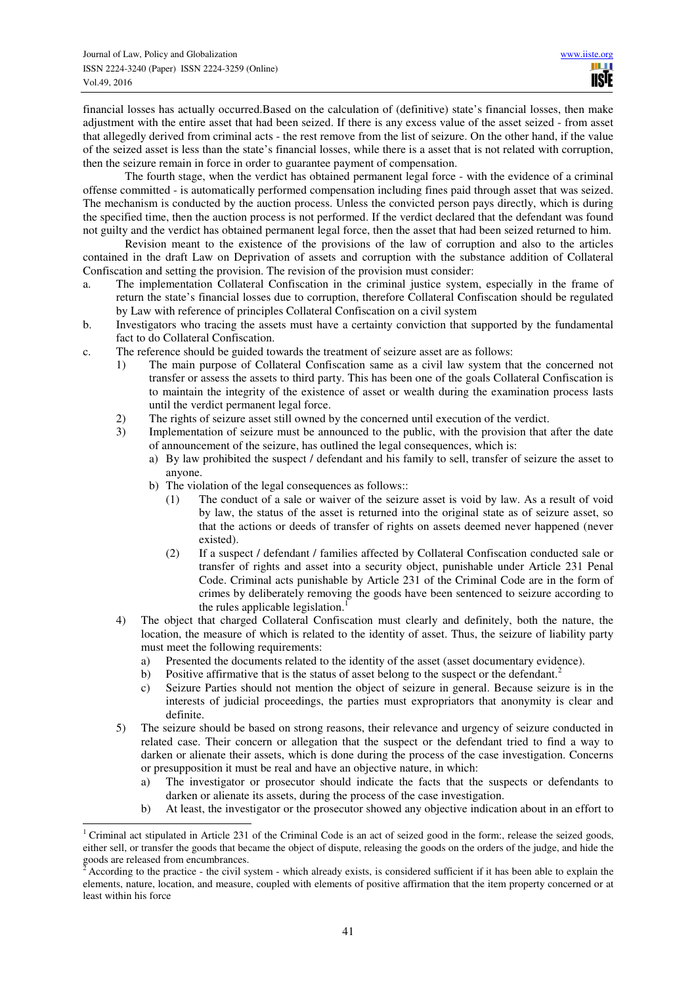financial losses has actually occurred.Based on the calculation of (definitive) state's financial losses, then make adjustment with the entire asset that had been seized. If there is any excess value of the asset seized - from asset that allegedly derived from criminal acts - the rest remove from the list of seizure. On the other hand, if the value of the seized asset is less than the state's financial losses, while there is a asset that is not related with corruption, then the seizure remain in force in order to guarantee payment of compensation.

The fourth stage, when the verdict has obtained permanent legal force - with the evidence of a criminal offense committed - is automatically performed compensation including fines paid through asset that was seized. The mechanism is conducted by the auction process. Unless the convicted person pays directly, which is during the specified time, then the auction process is not performed. If the verdict declared that the defendant was found not guilty and the verdict has obtained permanent legal force, then the asset that had been seized returned to him.

Revision meant to the existence of the provisions of the law of corruption and also to the articles contained in the draft Law on Deprivation of assets and corruption with the substance addition of Collateral Confiscation and setting the provision. The revision of the provision must consider:

- a. The implementation Collateral Confiscation in the criminal justice system, especially in the frame of return the state's financial losses due to corruption, therefore Collateral Confiscation should be regulated by Law with reference of principles Collateral Confiscation on a civil system
- b. Investigators who tracing the assets must have a certainty conviction that supported by the fundamental fact to do Collateral Confiscation.
- c. The reference should be guided towards the treatment of seizure asset are as follows:
	- 1) The main purpose of Collateral Confiscation same as a civil law system that the concerned not transfer or assess the assets to third party. This has been one of the goals Collateral Confiscation is to maintain the integrity of the existence of asset or wealth during the examination process lasts until the verdict permanent legal force.
	- 2) The rights of seizure asset still owned by the concerned until execution of the verdict.
	- 3) Implementation of seizure must be announced to the public, with the provision that after the date of announcement of the seizure, has outlined the legal consequences, which is:
		- a) By law prohibited the suspect / defendant and his family to sell, transfer of seizure the asset to anyone.
		- b) The violation of the legal consequences as follows::
			- (1) The conduct of a sale or waiver of the seizure asset is void by law. As a result of void by law, the status of the asset is returned into the original state as of seizure asset, so that the actions or deeds of transfer of rights on assets deemed never happened (never existed).
			- (2) If a suspect / defendant / families affected by Collateral Confiscation conducted sale or transfer of rights and asset into a security object, punishable under Article 231 Penal Code. Criminal acts punishable by Article 231 of the Criminal Code are in the form of crimes by deliberately removing the goods have been sentenced to seizure according to the rules applicable legislation.<sup>1</sup>
	- 4) The object that charged Collateral Confiscation must clearly and definitely, both the nature, the location, the measure of which is related to the identity of asset. Thus, the seizure of liability party must meet the following requirements:
		- a) Presented the documents related to the identity of the asset (asset documentary evidence).
		- b) Positive affirmative that is the status of asset belong to the suspect or the defendant.<sup>2</sup>
		- c) Seizure Parties should not mention the object of seizure in general. Because seizure is in the interests of judicial proceedings, the parties must expropriators that anonymity is clear and definite.
	- 5) The seizure should be based on strong reasons, their relevance and urgency of seizure conducted in related case. Their concern or allegation that the suspect or the defendant tried to find a way to darken or alienate their assets, which is done during the process of the case investigation. Concerns or presupposition it must be real and have an objective nature, in which:
		- a) The investigator or prosecutor should indicate the facts that the suspects or defendants to darken or alienate its assets, during the process of the case investigation.
		- b) At least, the investigator or the prosecutor showed any objective indication about in an effort to

 $\overline{a}$ <sup>1</sup> Criminal act stipulated in Article 231 of the Criminal Code is an act of seized good in the form:, release the seized goods, either sell, or transfer the goods that became the object of dispute, releasing the goods on the orders of the judge, and hide the

goods are released from encumbrances.<br><sup>2</sup> According to the practice - the civil system - which already exists, is considered sufficient if it has been able to explain the elements, nature, location, and measure, coupled with elements of positive affirmation that the item property concerned or at least within his force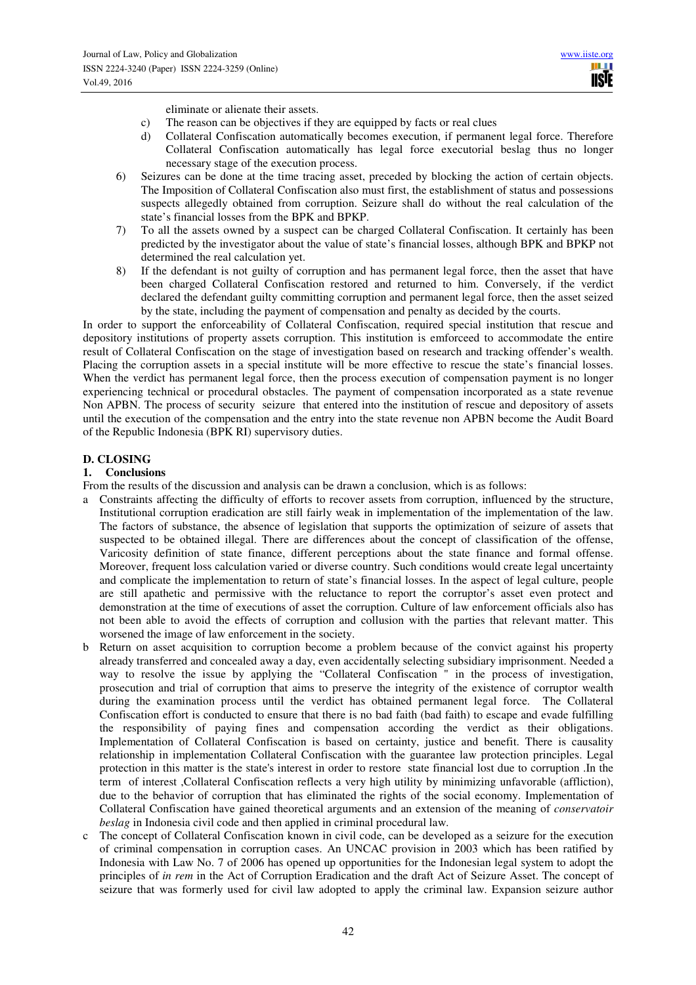шı **IISTE** 

eliminate or alienate their assets.

- c) The reason can be objectives if they are equipped by facts or real clues
- d) Collateral Confiscation automatically becomes execution, if permanent legal force. Therefore Collateral Confiscation automatically has legal force executorial beslag thus no longer necessary stage of the execution process.
- 6) Seizures can be done at the time tracing asset, preceded by blocking the action of certain objects. The Imposition of Collateral Confiscation also must first, the establishment of status and possessions suspects allegedly obtained from corruption. Seizure shall do without the real calculation of the state's financial losses from the BPK and BPKP.
- 7) To all the assets owned by a suspect can be charged Collateral Confiscation. It certainly has been predicted by the investigator about the value of state's financial losses, although BPK and BPKP not determined the real calculation yet.
- 8) If the defendant is not guilty of corruption and has permanent legal force, then the asset that have been charged Collateral Confiscation restored and returned to him. Conversely, if the verdict declared the defendant guilty committing corruption and permanent legal force, then the asset seized by the state, including the payment of compensation and penalty as decided by the courts.

In order to support the enforceability of Collateral Confiscation, required special institution that rescue and depository institutions of property assets corruption. This institution is emforceed to accommodate the entire result of Collateral Confiscation on the stage of investigation based on research and tracking offender's wealth. Placing the corruption assets in a special institute will be more effective to rescue the state's financial losses. When the verdict has permanent legal force, then the process execution of compensation payment is no longer experiencing technical or procedural obstacles. The payment of compensation incorporated as a state revenue Non APBN. The process of security seizure that entered into the institution of rescue and depository of assets until the execution of the compensation and the entry into the state revenue non APBN become the Audit Board of the Republic Indonesia (BPK RI) supervisory duties.

## **D. CLOSING**

## **1. Conclusions**

- From the results of the discussion and analysis can be drawn a conclusion, which is as follows:
- a Constraints affecting the difficulty of efforts to recover assets from corruption, influenced by the structure, Institutional corruption eradication are still fairly weak in implementation of the implementation of the law. The factors of substance, the absence of legislation that supports the optimization of seizure of assets that suspected to be obtained illegal. There are differences about the concept of classification of the offense, Varicosity definition of state finance, different perceptions about the state finance and formal offense. Moreover, frequent loss calculation varied or diverse country. Such conditions would create legal uncertainty and complicate the implementation to return of state's financial losses. In the aspect of legal culture, people are still apathetic and permissive with the reluctance to report the corruptor's asset even protect and demonstration at the time of executions of asset the corruption. Culture of law enforcement officials also has not been able to avoid the effects of corruption and collusion with the parties that relevant matter. This worsened the image of law enforcement in the society.
- b Return on asset acquisition to corruption become a problem because of the convict against his property already transferred and concealed away a day, even accidentally selecting subsidiary imprisonment. Needed a way to resolve the issue by applying the "Collateral Confiscation" in the process of investigation, prosecution and trial of corruption that aims to preserve the integrity of the existence of corruptor wealth during the examination process until the verdict has obtained permanent legal force. The Collateral Confiscation effort is conducted to ensure that there is no bad faith (bad faith) to escape and evade fulfilling the responsibility of paying fines and compensation according the verdict as their obligations. Implementation of Collateral Confiscation is based on certainty, justice and benefit. There is causality relationship in implementation Collateral Confiscation with the guarantee law protection principles. Legal protection in this matter is the state's interest in order to restore state financial lost due to corruption .In the term of interest ,Collateral Confiscation reflects a very high utility by minimizing unfavorable (affliction), due to the behavior of corruption that has eliminated the rights of the social economy. Implementation of Collateral Confiscation have gained theoretical arguments and an extension of the meaning of *conservatoir beslag* in Indonesia civil code and then applied in criminal procedural law.
- c The concept of Collateral Confiscation known in civil code, can be developed as a seizure for the execution of criminal compensation in corruption cases. An UNCAC provision in 2003 which has been ratified by Indonesia with Law No. 7 of 2006 has opened up opportunities for the Indonesian legal system to adopt the principles of *in rem* in the Act of Corruption Eradication and the draft Act of Seizure Asset. The concept of seizure that was formerly used for civil law adopted to apply the criminal law. Expansion seizure author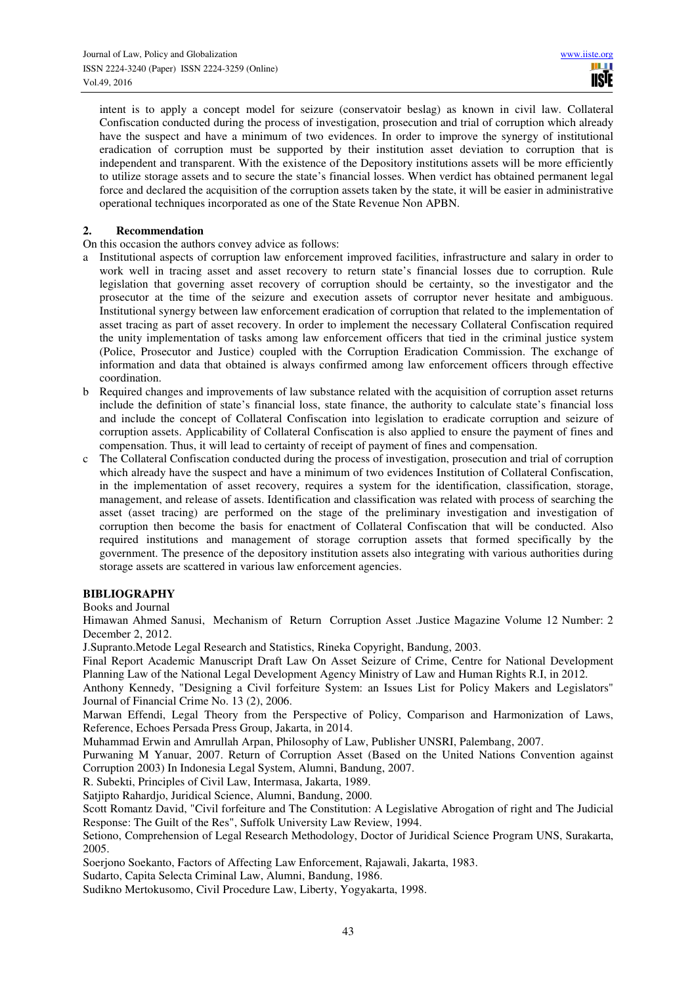intent is to apply a concept model for seizure (conservatoir beslag) as known in civil law. Collateral Confiscation conducted during the process of investigation, prosecution and trial of corruption which already have the suspect and have a minimum of two evidences. In order to improve the synergy of institutional eradication of corruption must be supported by their institution asset deviation to corruption that is independent and transparent. With the existence of the Depository institutions assets will be more efficiently to utilize storage assets and to secure the state's financial losses. When verdict has obtained permanent legal force and declared the acquisition of the corruption assets taken by the state, it will be easier in administrative operational techniques incorporated as one of the State Revenue Non APBN.

# **2. Recommendation**

On this occasion the authors convey advice as follows:

- a Institutional aspects of corruption law enforcement improved facilities, infrastructure and salary in order to work well in tracing asset and asset recovery to return state's financial losses due to corruption. Rule legislation that governing asset recovery of corruption should be certainty, so the investigator and the prosecutor at the time of the seizure and execution assets of corruptor never hesitate and ambiguous. Institutional synergy between law enforcement eradication of corruption that related to the implementation of asset tracing as part of asset recovery. In order to implement the necessary Collateral Confiscation required the unity implementation of tasks among law enforcement officers that tied in the criminal justice system (Police, Prosecutor and Justice) coupled with the Corruption Eradication Commission. The exchange of information and data that obtained is always confirmed among law enforcement officers through effective coordination.
- b Required changes and improvements of law substance related with the acquisition of corruption asset returns include the definition of state's financial loss, state finance, the authority to calculate state's financial loss and include the concept of Collateral Confiscation into legislation to eradicate corruption and seizure of corruption assets. Applicability of Collateral Confiscation is also applied to ensure the payment of fines and compensation. Thus, it will lead to certainty of receipt of payment of fines and compensation.
- c The Collateral Confiscation conducted during the process of investigation, prosecution and trial of corruption which already have the suspect and have a minimum of two evidences Institution of Collateral Confiscation, in the implementation of asset recovery, requires a system for the identification, classification, storage, management, and release of assets. Identification and classification was related with process of searching the asset (asset tracing) are performed on the stage of the preliminary investigation and investigation of corruption then become the basis for enactment of Collateral Confiscation that will be conducted. Also required institutions and management of storage corruption assets that formed specifically by the government. The presence of the depository institution assets also integrating with various authorities during storage assets are scattered in various law enforcement agencies.

# **BIBLIOGRAPHY**

Books and Journal

Himawan Ahmed Sanusi, Mechanism of Return Corruption Asset .Justice Magazine Volume 12 Number: 2 December 2, 2012.

J.Supranto.Metode Legal Research and Statistics, Rineka Copyright, Bandung, 2003.

Final Report Academic Manuscript Draft Law On Asset Seizure of Crime, Centre for National Development Planning Law of the National Legal Development Agency Ministry of Law and Human Rights R.I, in 2012.

Anthony Kennedy, "Designing a Civil forfeiture System: an Issues List for Policy Makers and Legislators" Journal of Financial Crime No. 13 (2), 2006.

Marwan Effendi, Legal Theory from the Perspective of Policy, Comparison and Harmonization of Laws, Reference, Echoes Persada Press Group, Jakarta, in 2014.

Muhammad Erwin and Amrullah Arpan, Philosophy of Law, Publisher UNSRI, Palembang, 2007.

Purwaning M Yanuar, 2007. Return of Corruption Asset (Based on the United Nations Convention against Corruption 2003) In Indonesia Legal System, Alumni, Bandung, 2007.

R. Subekti, Principles of Civil Law, Intermasa, Jakarta, 1989.

Satjipto Rahardjo, Juridical Science, Alumni, Bandung, 2000.

Scott Romantz David, "Civil forfeiture and The Constitution: A Legislative Abrogation of right and The Judicial Response: The Guilt of the Res", Suffolk University Law Review, 1994.

Setiono, Comprehension of Legal Research Methodology, Doctor of Juridical Science Program UNS, Surakarta, 2005.

Soerjono Soekanto, Factors of Affecting Law Enforcement, Rajawali, Jakarta, 1983.

Sudarto, Capita Selecta Criminal Law, Alumni, Bandung, 1986.

Sudikno Mertokusomo, Civil Procedure Law, Liberty, Yogyakarta, 1998.